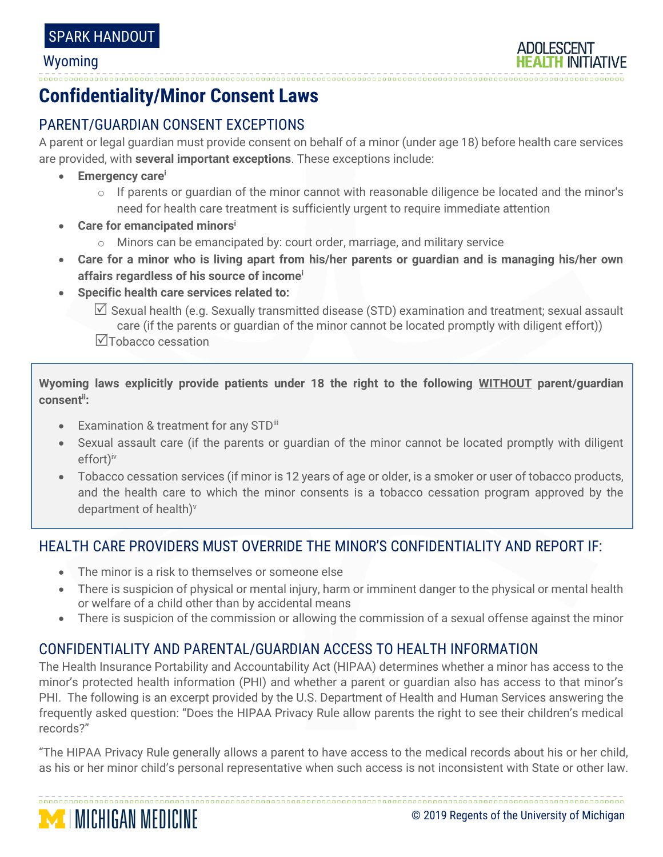#### Wyoming

# **Confidentiality/Minor Consent Laws**

## PARENT/GUARDIAN CONSENT EXCEPTIONS

A parent or legal guardian must provide consent on behalf of a minor (under age 18) before health care services are provided, with **several important exceptions**. These exceptions include:

- **Emergency care<sup>i</sup>**
	- $\circ$  If parents or guardian of the minor cannot with reasonable diligence be located and the minor's need for health care treatment is sufficiently urgent to require immediate attention
- **Care for emancipated minors<sup>i</sup>**
	- o Minors can be emancipated by: court order, marriage, and military service
- **Care for a minor who is living apart from his/her parents or guardian and is managing his/her own affairs regardless of his source of income<sup>i</sup>**
- **Specific health care services related to:**

 $\boxtimes$  Sexual health (e.g. Sexually transmitted disease (STD) examination and treatment; sexual assault care (if the parents or guardian of the minor cannot be located promptly with diligent effort)) Tobacco cessation

**Wyoming laws explicitly provide patients under 18 the right to the following WITHOUT parent/guardian consentii:**

- Examination & treatment for any STDiii
- Sexual assault care (if the parents or guardian of the minor cannot be located promptly with diligent effort) iv
- Tobacco cessation services (if minor is 12 years of age or older, is a smoker or user of tobacco products, and the health care to which the minor consents is a tobacco cessation program approved by the department of health) v

### HEALTH CARE PROVIDERS MUST OVERRIDE THE MINOR'S CONFIDENTIALITY AND REPORT IF:

- The minor is a risk to themselves or someone else
- There is suspicion of physical or mental injury, harm or imminent danger to the physical or mental health or welfare of a child other than by accidental means
- There is suspicion of the commission or allowing the commission of a sexual offense against the minor

### CONFIDENTIALITY AND PARENTAL/GUARDIAN ACCESS TO HEALTH INFORMATION

The Health Insurance Portability and Accountability Act (HIPAA) determines whether a minor has access to the minor's protected health information (PHI) and whether a parent or guardian also has access to that minor's PHI. The following is an excerpt provided by the U.S. Department of Health and Human Services answering the frequently asked question: "Does the HIPAA Privacy Rule allow parents the right to see their children's medical records?"

"The HIPAA Privacy Rule generally allows a parent to have access to the medical records about his or her child, as his or her minor child's personal representative when such access is not inconsistent with State or other law.